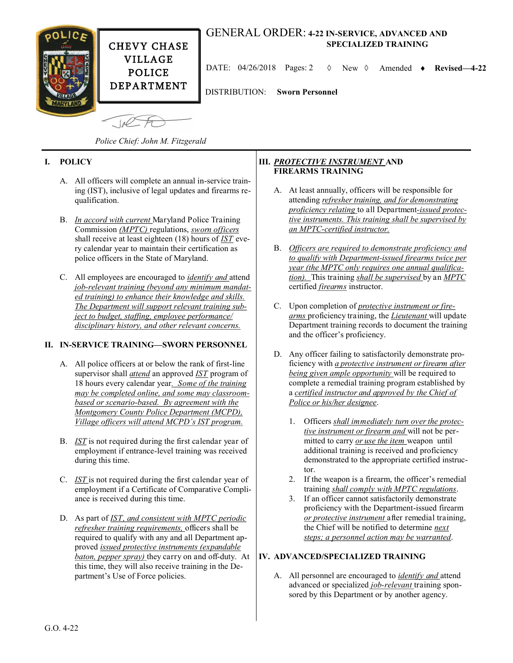

# GENERAL ORDER: **4-22 IN-SERVICE, ADVANCED AND SPECIALIZED TRAINING**

DATE: 04/26/2018 Pages: 2 New Amended **Revised—4-22**

DISTRIBUTION: **Sworn Personnel**

 $\sqrt{10}$ 

*Police Chief: John M. Fitzgerald*

# **I. POLICY**

- A. All officers will complete an annual in-service training (IST), inclusive of legal updates and firearms requalification.
- B. *In accord with current* Maryland Police Training Commission *(MPTC)* regulations, *sworn officers*  shall receive at least eighteen (18) hours of *IST* every calendar year to maintain their certification as police officers in the State of Maryland.
- C. All employees are encouraged to *identify and* attend *job-relevant training (beyond any minimum mandated training) to enhance their knowledge and skills. The Department will support relevant training subject to budget, staffing, employee performance/ disciplinary history, and other relevant concerns.*

# **II. IN-SERVICE TRAINING—SWORN PERSONNEL**

- A. All police officers at or below the rank of first-line supervisor shall *attend* an approved *IST* program of 18 hours every calendar year*. Some of the training may be completed online, and some may classroombased or scenario-based. By agreement with the Montgomery County Police Department (MCPD), Village officers will attend MCPD's IST program.*
- B. *IST* is not required during the first calendar year of employment if entrance-level training was received during this time.
- C. *IST* is not required during the first calendar year of employment if a Certificate of Comparative Compliance is received during this time.
- D. As part of *IST, and consistent with MPTC periodic refresher training requirements,* officers shall be required to qualify with any and all Department approved *issued protective instruments (expandable baton, pepper spray)* they carry on and off-duty. At this time, they will also receive training in the Department's Use of Force policies.

#### **III.** *PROTECTIVE INSTRUMENT* **AND FIREARMS TRAINING**

- A. At least annually, officers will be responsible for attending *refresher training, and for demonstrating proficiency relating* to all Department*-issued protective instruments. This training shall be supervised by an MPTC-certified instructor.*
- B. *Officers are required to demonstrate proficiency and to qualify with Department-issued firearms twice per year (the MPTC only requires one annual qualification).* This training *shall be supervised* by an *MPTC* certified *firearms* instructor.
- C. Upon completion of *protective instrument or firearms* proficiency training, the *Lieutenant* will update Department training records to document the training and the officer's proficiency.
- D. Any officer failing to satisfactorily demonstrate proficiency with *a protective instrument or firearm after being given ample opportunity* will be required to complete a remedial training program established by a *certified instructor and approved by the Chief of Police or his/her designee*.
	- 1. Officers *shall immediately turn over the protective instrument or firearm and* will not be permitted to carry *or use the item* weapon until additional training is received and proficiency demonstrated to the appropriate certified instructor.
	- 2. If the weapon is a firearm, the officer's remedial training *shall comply with MPTC regulations*.
	- 3. If an officer cannot satisfactorily demonstrate proficiency with the Department-issued firearm *or protective instrument* after remedial training, the Chief will be notified to determine *next steps; a personnel action may be warranted*.

# **IV. ADVANCED/SPECIALIZED TRAINING**

A. All personnel are encouraged to *identify and* attend advanced or specialized *job-relevant* training sponsored by this Department or by another agency.